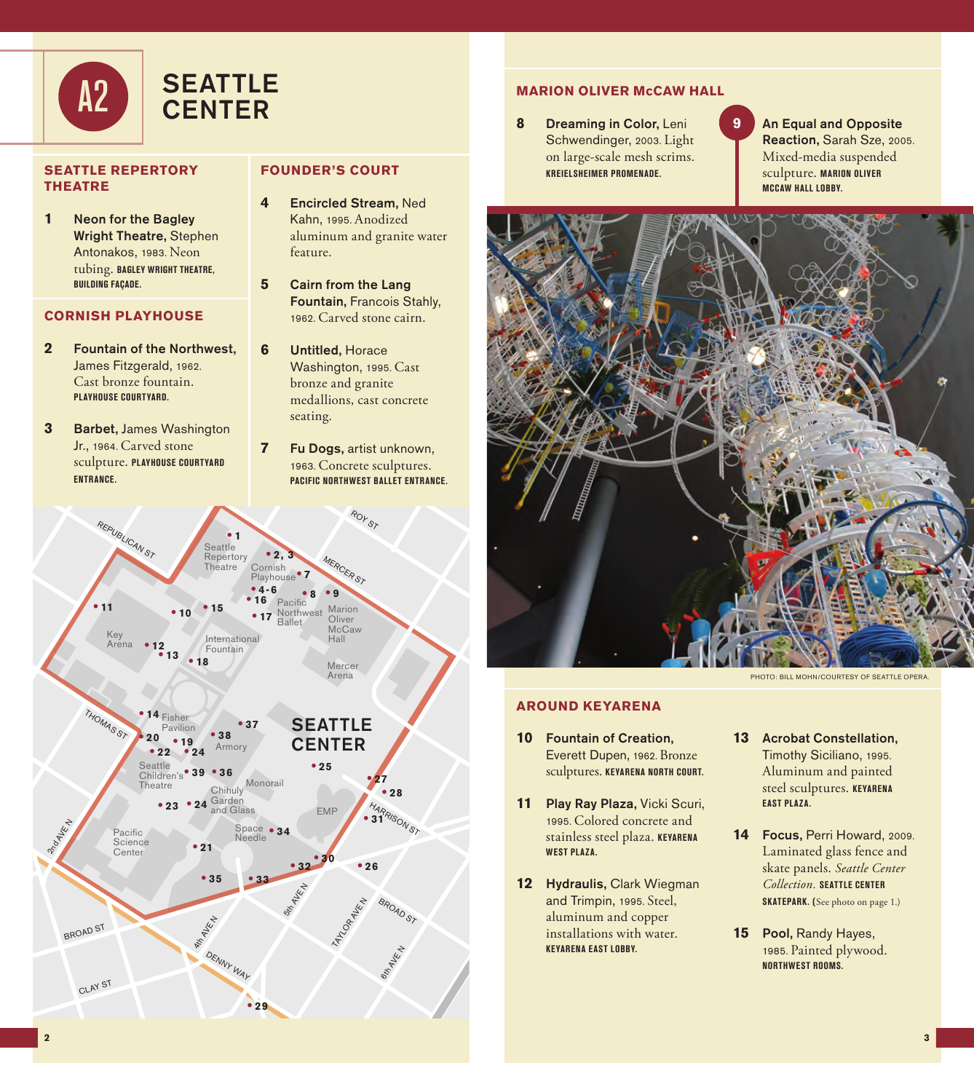

### **SEATTLE REPERTORY THEATRE**

**1** Neon for the Bagley Wright Theatre, Stephen Antonakos, 1983. Neon tubing. **BAGLEY WRIGHT THEATRE, BUILDING FAÇADE.**

### **CORNISH PLAYHOUSE**

- **2** Fountain of the Northwest, James Fitzgerald, 1962. Cast bronze fountain. **PLAYHOUSE COURTYARD.**
- **3** Barbet, James Washington Jr., 1964. Carved stone sculpture. **PLAYHOUSE COURTYARD ENTRANCE.**

## **FOUNDER'S COURT**

- **4** Encircled Stream, Ned Kahn, 1995. Anodized aluminum and granite water feature.
- **5** Cairn from the Lang Fountain, Francois Stahly, 1962. Carved stone cairn.
- **6** Untitled, Horace Washington, 1995. Cast bronze and granite medallions, cast concrete seating.
- **7** Fu Dogs, artist unknown, 1963. Concrete sculptures. **PACIFIC NORTHWEST BALLET ENTRANCE.**



# **MARION OLIVER McCAW HALL**

- **8** Dreaming in Color, Leni Schwendinger, 2003. Light on large-scale mesh scrims. **KREIELSHEIMER PROMENADE.**
- **9** An Equal and Opposite Reaction, Sarah Sze, 2005. Mixed-media suspended sculpture. **MARION OLIVER MCCAW HALL LOBBY.**



PHOTO: BILL MOHN/COURTESY OF SEATTLE OPERA.

### **AROUND KEYARENA**

- **10** Fountain of Creation, Everett Dupen, 1962. Bronze sculptures. **KEYARENA NORTH COURT.**
- **11** Play Ray Plaza, Vicki Scuri, 1995. Colored concrete and stainless steel plaza. **KEYARENA WEST PLAZA.**
- **12** Hydraulis, Clark Wiegman and Trimpin, 1995. Steel, aluminum and copper installations with water. **KEYARENA EAST LOBBY.**
- **13** Acrobat Constellation, Timothy Siciliano, 1995. Aluminum and painted steel sculptures. **KEYARENA EAST PLAZA.**
- **14** Focus, Perri Howard, 2009. Laminated glass fence and skate panels. *Seattle Center Collection.* **SEATTLE CENTER SKATEPARK. (**See photo on page 1.)
- **15** Pool, Randy Hayes, 1985. Painted plywood. **NORTHWEST ROOMS.**